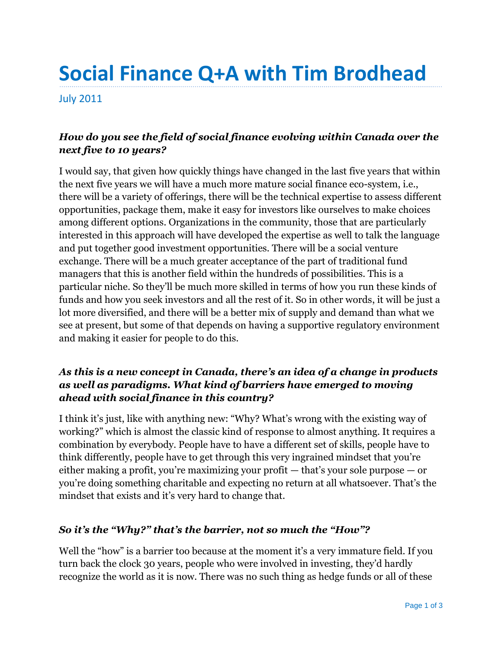# **Social Finance Q+A with Tim Brodhead**

July 2011

## *How do you see the field of social finance evolving within Canada over the next five to 10 years?*

I would say, that given how quickly things have changed in the last five years that within the next five years we will have a much more mature social finance eco-system, i.e., there will be a variety of offerings, there will be the technical expertise to assess different opportunities, package them, make it easy for investors like ourselves to make choices among different options. Organizations in the community, those that are particularly interested in this approach will have developed the expertise as well to talk the language and put together good investment opportunities. There will be a social venture exchange. There will be a much greater acceptance of the part of traditional fund managers that this is another field within the hundreds of possibilities. This is a particular niche. So they'll be much more skilled in terms of how you run these kinds of funds and how you seek investors and all the rest of it. So in other words, it will be just a lot more diversified, and there will be a better mix of supply and demand than what we see at present, but some of that depends on having a supportive regulatory environment and making it easier for people to do this.

### *As this is a new concept in Canada, there's an idea of a change in products as well as paradigms. What kind of barriers have emerged to moving ahead with social finance in this country?*

I think it's just, like with anything new: "Why? What's wrong with the existing way of working?" which is almost the classic kind of response to almost anything. It requires a combination by everybody. People have to have a different set of skills, people have to think differently, people have to get through this very ingrained mindset that you're either making a profit, you're maximizing your profit — that's your sole purpose — or you're doing something charitable and expecting no return at all whatsoever. That's the mindset that exists and it's very hard to change that.

### *So it's the "Why?" that's the barrier, not so much the "How"?*

Well the "how" is a barrier too because at the moment it's a very immature field. If you turn back the clock 30 years, people who were involved in investing, they'd hardly recognize the world as it is now. There was no such thing as hedge funds or all of these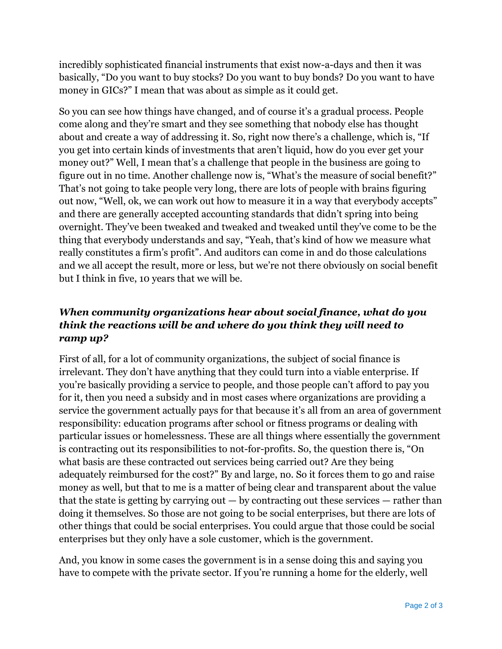incredibly sophisticated financial instruments that exist now-a-days and then it was basically, "Do you want to buy stocks? Do you want to buy bonds? Do you want to have money in GICs?" I mean that was about as simple as it could get.

So you can see how things have changed, and of course it's a gradual process. People come along and they're smart and they see something that nobody else has thought about and create a way of addressing it. So, right now there's a challenge, which is, "If you get into certain kinds of investments that aren't liquid, how do you ever get your money out?" Well, I mean that's a challenge that people in the business are going to figure out in no time. Another challenge now is, "What's the measure of social benefit?" That's not going to take people very long, there are lots of people with brains figuring out now, "Well, ok, we can work out how to measure it in a way that everybody accepts" and there are generally accepted accounting standards that didn't spring into being overnight. They've been tweaked and tweaked and tweaked until they've come to be the thing that everybody understands and say, "Yeah, that's kind of how we measure what really constitutes a firm's profit". And auditors can come in and do those calculations and we all accept the result, more or less, but we're not there obviously on social benefit but I think in five, 10 years that we will be.

## *When community organizations hear about social finance, what do you think the reactions will be and where do you think they will need to ramp up?*

First of all, for a lot of community organizations, the subject of social finance is irrelevant. They don't have anything that they could turn into a viable enterprise. If you're basically providing a service to people, and those people can't afford to pay you for it, then you need a subsidy and in most cases where organizations are providing a service the government actually pays for that because it's all from an area of government responsibility: education programs after school or fitness programs or dealing with particular issues or homelessness. These are all things where essentially the government is contracting out its responsibilities to not-for-profits. So, the question there is, "On what basis are these contracted out services being carried out? Are they being adequately reimbursed for the cost?" By and large, no. So it forces them to go and raise money as well, but that to me is a matter of being clear and transparent about the value that the state is getting by carrying out  $-$  by contracting out these services  $-$  rather than doing it themselves. So those are not going to be social enterprises, but there are lots of other things that could be social enterprises. You could argue that those could be social enterprises but they only have a sole customer, which is the government.

And, you know in some cases the government is in a sense doing this and saying you have to compete with the private sector. If you're running a home for the elderly, well